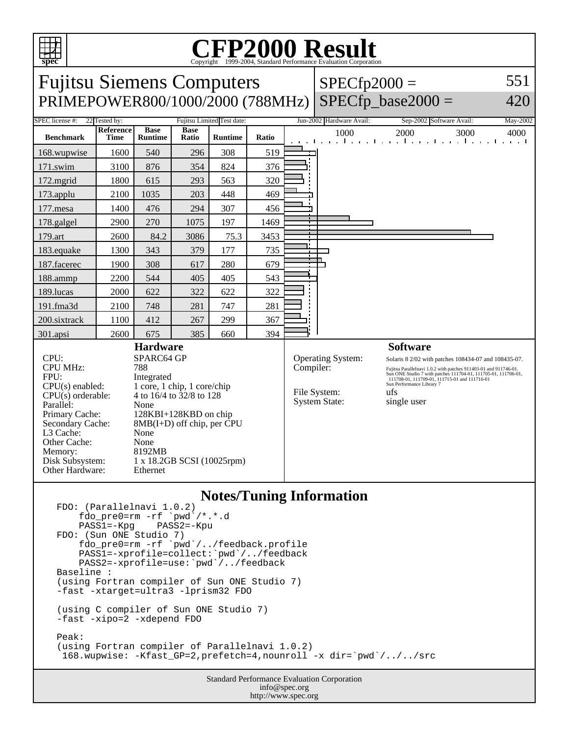

# Copyright ©1999-2004, Standard Performance Evaluation Corporation

| <b>Fujitsu Siemens Computers</b><br>PRIMEPOWER800/1000/2000 (788MHz)                                                                                                                                                                                                                                                                                                                                                                                                       |                                    |                               |                      |                                              |           |                                                           | $SPECfp2000 =$                                                                                                                                                                                                                                                                                                    | $SPECfp$ base2000 =                                                          | 551<br>420                                                                                                                                                                                                                                         |
|----------------------------------------------------------------------------------------------------------------------------------------------------------------------------------------------------------------------------------------------------------------------------------------------------------------------------------------------------------------------------------------------------------------------------------------------------------------------------|------------------------------------|-------------------------------|----------------------|----------------------------------------------|-----------|-----------------------------------------------------------|-------------------------------------------------------------------------------------------------------------------------------------------------------------------------------------------------------------------------------------------------------------------------------------------------------------------|------------------------------------------------------------------------------|----------------------------------------------------------------------------------------------------------------------------------------------------------------------------------------------------------------------------------------------------|
| SPEC license #:<br><b>Benchmark</b>                                                                                                                                                                                                                                                                                                                                                                                                                                        | 22 Tested by:<br>Reference<br>Time | <b>Base</b><br><b>Runtime</b> | <b>Base</b><br>Ratio | Fujitsu Limited Test date:<br><b>Runtime</b> | Ratio     | 1.1111                                                    | Jun-2002 Hardware Avail:<br>1000<br>$\mathbf{r}$                                                                                                                                                                                                                                                                  | Sep-2002 Software Avail:<br>2000<br>3000<br>In a contract of the contract of | May-2002<br>4000<br>the contract of the contract of the contract of the contract of the contract of the contract of the contract of the contract of the contract of the contract of the contract of the contract of the contract of the contract o |
| 168.wupwise                                                                                                                                                                                                                                                                                                                                                                                                                                                                | 1600                               | 540                           | 296                  | 308                                          | 519       |                                                           |                                                                                                                                                                                                                                                                                                                   |                                                                              |                                                                                                                                                                                                                                                    |
| 171.swim                                                                                                                                                                                                                                                                                                                                                                                                                                                                   | 3100                               | 876                           | 354                  | 824                                          | 376       |                                                           |                                                                                                                                                                                                                                                                                                                   |                                                                              |                                                                                                                                                                                                                                                    |
| 172.mgrid                                                                                                                                                                                                                                                                                                                                                                                                                                                                  | 1800                               | 615                           | 293                  | 563                                          | 320       |                                                           |                                                                                                                                                                                                                                                                                                                   |                                                                              |                                                                                                                                                                                                                                                    |
| 173.applu                                                                                                                                                                                                                                                                                                                                                                                                                                                                  | 2100                               | 1035                          | 203                  | 448                                          | 469       |                                                           |                                                                                                                                                                                                                                                                                                                   |                                                                              |                                                                                                                                                                                                                                                    |
| 177.mesa                                                                                                                                                                                                                                                                                                                                                                                                                                                                   | 1400                               | 476                           | 294                  | 307                                          | 456       |                                                           |                                                                                                                                                                                                                                                                                                                   |                                                                              |                                                                                                                                                                                                                                                    |
| 178.galgel                                                                                                                                                                                                                                                                                                                                                                                                                                                                 | 2900                               | 270                           | 1075                 | 197                                          | 1469      |                                                           |                                                                                                                                                                                                                                                                                                                   |                                                                              |                                                                                                                                                                                                                                                    |
| 179.art                                                                                                                                                                                                                                                                                                                                                                                                                                                                    | 2600                               | 84.2                          | 3086                 | 75.3                                         | 3453      |                                                           |                                                                                                                                                                                                                                                                                                                   |                                                                              |                                                                                                                                                                                                                                                    |
| 183.equake                                                                                                                                                                                                                                                                                                                                                                                                                                                                 | 1300                               | 343                           | 379                  | 177                                          | 735       |                                                           |                                                                                                                                                                                                                                                                                                                   |                                                                              |                                                                                                                                                                                                                                                    |
| 187.facerec                                                                                                                                                                                                                                                                                                                                                                                                                                                                | 1900                               | 308                           | 617                  | 280                                          | 679       |                                                           |                                                                                                                                                                                                                                                                                                                   |                                                                              |                                                                                                                                                                                                                                                    |
| 188.ammp                                                                                                                                                                                                                                                                                                                                                                                                                                                                   | 2200                               | 544                           | 405                  | 405                                          | 543       |                                                           |                                                                                                                                                                                                                                                                                                                   |                                                                              |                                                                                                                                                                                                                                                    |
| 189.lucas                                                                                                                                                                                                                                                                                                                                                                                                                                                                  | 2000                               | 622                           | 322                  | 622                                          | 322       |                                                           |                                                                                                                                                                                                                                                                                                                   |                                                                              |                                                                                                                                                                                                                                                    |
| 191.fma3d                                                                                                                                                                                                                                                                                                                                                                                                                                                                  | 2100                               | 748                           | 281                  | 747                                          | 281       |                                                           |                                                                                                                                                                                                                                                                                                                   |                                                                              |                                                                                                                                                                                                                                                    |
| 200.sixtrack                                                                                                                                                                                                                                                                                                                                                                                                                                                               | 1100                               | 412                           | 267                  | 299                                          | 367       |                                                           |                                                                                                                                                                                                                                                                                                                   |                                                                              |                                                                                                                                                                                                                                                    |
| 301.apsi                                                                                                                                                                                                                                                                                                                                                                                                                                                                   | 2600                               | 675                           | 385                  | 660                                          | 394       |                                                           |                                                                                                                                                                                                                                                                                                                   |                                                                              |                                                                                                                                                                                                                                                    |
| <b>Hardware</b><br>CPU:<br>SPARC64 GP<br><b>CPU MHz:</b><br>788<br>FPU:<br>Integrated<br>1 core, 1 chip, 1 core/chip<br>$CPU(s)$ enabled:<br>$CPU(s)$ orderable:<br>4 to 16/4 to 32/8 to 128<br>Parallel:<br>None<br>Primary Cache:<br>128KBI+128KBD on chip<br>$8MB(I+D)$ off chip, per $\dot{C}PU$<br>Secondary Cache:<br>L3 Cache:<br>None<br>Other Cache:<br>None<br>Memory:<br>8192MB<br>Disk Subsystem:<br>1 x 18.2GB SCSI (10025rpm)<br>Other Hardware:<br>Ethernet |                                    |                               |                      |                                              | Compiler: | <b>Operating System:</b><br>File System:<br>System State: | <b>Software</b><br>Solaris 8 2/02 with patches 108434-07 and 108435-07.<br>Fujitsu Parallelnavi 1.0.2 with patches 911403-01 and 911746-01.<br>Sun ONE Studio 7 with patches 111704-01, 111705-01, 111706-01,<br>111708-01, 111709-01, 111715-01 and 111716-01<br>Sun Performance Library 7<br>ufs<br>single user |                                                                              |                                                                                                                                                                                                                                                    |

#### **Notes/Tuning Information**

```
FDO: (Parallelnavi 1.0.2)
    fdo_pre0=rm -rf `pwd`/*.*.d<br>PASS1=-Kpg PASS2=-Kpu
 PASS1=-Kpg PASS2=-Kpu
FDO: (Sun ONE Studio 7)
 fdo_pre0=rm -rf `pwd`/../feedback.profile
 PASS1=-xprofile=collect:`pwd`/../feedback
 PASS2=-xprofile=use:`pwd`/../feedback
Baseline :
(using Fortran compiler of Sun ONE Studio 7)
-fast -xtarget=ultra3 -lprism32 FDO
(using C compiler of Sun ONE Studio 7)
-fast -xipo=2 -xdepend FDO
Peak:
(using Fortran compiler of Parallelnavi 1.0.2)
  168.wupwise: -Kfast_GP=2,prefetch=4,nounroll -x dir=`pwd`/../../src
```
Standard Performance Evaluation Corporation info@spec.org http://www.spec.org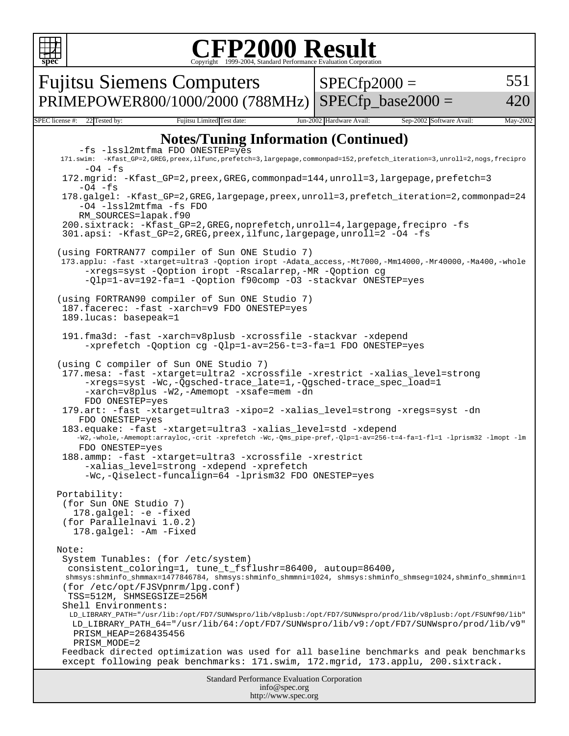

#### **CFP2000 Result** Copyright 1999-2004, Standard Performance Evaluation Corporation

Standard Performance Evaluation Corporation info@spec.org Fujitsu Siemens Computers PRIMEPOWER800/1000/2000 (788MHz)  $SPECfp2000 =$ SPECfp base2000  $=$ 551 420 SPEC license #: 22 Tested by: Fujitsu Limited Test date: Jun-2002 Hardware Avail: Sep-2002 Software Avail: May-2002 **Notes/Tuning Information (Continued)** -fs -lssl2mtfma FDO ONESTEP=yes 171.swim: -Kfast\_GP=2,GREG,preex,ilfunc,prefetch=3,largepage,commonpad=152,prefetch\_iteration=3,unroll=2,nogs,frecipro  $-04$   $-fs$  172.mgrid: -Kfast\_GP=2,preex,GREG,commonpad=144,unroll=3,largepage,prefetch=3  $-04$   $-fs$  178.galgel: -Kfast\_GP=2,GREG,largepage,preex,unroll=3,prefetch\_iteration=2,commonpad=24 -O4 -lssl2mtfma -fs FDO RM\_SOURCES=lapak.f90 200.sixtrack: -Kfast\_GP=2,GREG,noprefetch,unroll=4,largepage,frecipro -fs 301.apsi: -Kfast\_GP=2,GREG,preex,ilfunc,largepage,unroll=2 -O4 -fs (using FORTRAN77 compiler of Sun ONE Studio 7) 173.applu: -fast -xtarget=ultra3 -Qoption iropt -Adata\_access,-Mt7000,-Mm14000,-Mr40000,-Ma400,-whole -xregs=syst -Qoption iropt -Rscalarrep,-MR -Qoption cg -Qlp=1-av=192-fa=1 -Qoption f90comp -O3 -stackvar ONESTEP=yes (using FORTRAN90 compiler of Sun ONE Studio 7) 187.facerec: -fast -xarch=v9 FDO ONESTEP=yes 189.lucas: basepeak=1 191.fma3d: -fast -xarch=v8plusb -xcrossfile -stackvar -xdepend -xprefetch -Qoption cg -Qlp=1-av=256-t=3-fa=1 FDO ONESTEP=yes (using C compiler of Sun ONE Studio 7) 177.mesa: -fast -xtarget=ultra2 -xcrossfile -xrestrict -xalias\_level=strong -xregs=syst -Wc,-Qgsched-trace\_late=1,-Qgsched-trace\_spec\_load=1 -xarch=v8plus -W2,-Amemopt -xsafe=mem -dn FDO ONESTEP=yes 179.art: -fast -xtarget=ultra3 -xipo=2 -xalias\_level=strong -xregs=syst -dn FDO ONESTEP=yes 183.equake: -fast -xtarget=ultra3 -xalias\_level=std -xdepend -W2,-whole,-Amemopt:arrayloc,-crit -xprefetch -Wc,-Qms\_pipe-pref,-Qlp=1-av=256-t=4-fa=1-fl=1 -lprism32 -lmopt -lm FDO ONESTEP=yes 188.ammp: -fast -xtarget=ultra3 -xcrossfile -xrestrict -xalias\_level=strong -xdepend -xprefetch -Wc,-Qiselect-funcalign=64 -lprism32 FDO ONESTEP=yes Portability: (for Sun ONE Studio 7) 178.galgel: -e -fixed (for Parallelnavi 1.0.2) 178.galgel: -Am -Fixed Note: System Tunables: (for /etc/system) consistent\_coloring=1, tune\_t\_fsflushr=86400, autoup=86400, shmsys:shminfo\_shmmax=1477846784, shmsys:shminfo\_shmmni=1024, shmsys:shminfo\_shmseg=1024,shminfo\_shmmin=1 (for /etc/opt/FJSVpnrm/lpg.conf) TSS=512M, SHMSEGSIZE=256M Shell Environments: LD\_LIBRARY\_PATH="/usr/lib:/opt/FD7/SUNWspro/lib/v8plusb:/opt/FD7/SUNWspro/prod/lib/v8plusb:/opt/FSUNf90/lib" LD\_LIBRARY\_PATH\_64="/usr/lib/64:/opt/FD7/SUNWspro/lib/v9:/opt/FD7/SUNWspro/prod/lib/v9" PRISM\_HEAP=268435456 PRISM\_MODE=2 Feedback directed optimization was used for all baseline benchmarks and peak benchmarks except following peak benchmarks: 171.swim, 172.mgrid, 173.applu, 200.sixtrack.

http://www.spec.org